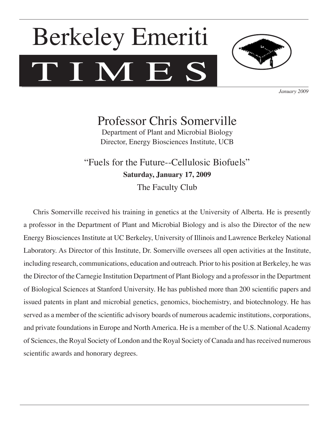# TIMES Berkeley Emeriti



*January 2009*

Professor Chris Somerville

Department of Plant and Microbial Biology Director, Energy Biosciences Institute, UCB

"Fuels for the Future--Cellulosic Biofuels" **Saturday, January 17, 2009** The Faculty Club

Chris Somerville received his training in genetics at the University of Alberta. He is presently a professor in the Department of Plant and Microbial Biology and is also the Director of the new Energy Biosciences Institute at UC Berkeley, University of Illinois and Lawrence Berkeley National Laboratory. As Director of this Institute, Dr. Somerville oversees all open activities at the Institute, including research, communications, education and outreach. Prior to his position at Berkeley, he was the Director of the Carnegie Institution Department of Plant Biology and a professor in the Department of Biological Sciences at Stanford University. He has published more than 200 scientific papers and issued patents in plant and microbial genetics, genomics, biochemistry, and biotechnology. He has served as a member of the scientific advisory boards of numerous academic institutions, corporations, and private foundations in Europe and North America. He is a member of the U.S. National Academy of Sciences, the Royal Society of London and the Royal Society of Canada and has received numerous scientific awards and honorary degrees.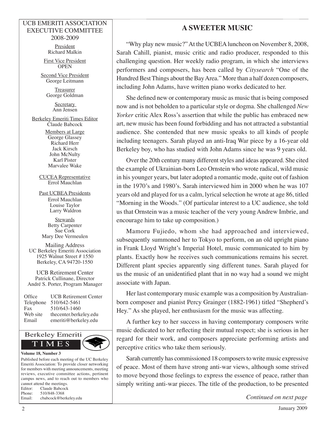#### UCB EMERITI ASSOCIATION EXECUTIVE COMMITTEE 2008-2009

President Richard Malkin

First Vice President **OPEN** 

Second Vice President George Leitmann

> **Treasurer** George Goldman

> > **Secretary** Ann Jensen

Berkeley Emeriti Times Editor Claude Babcock

> Members at Large George Glassey Richard Herr Jack Kirsch John McNulty Karl Pister Marvalee Wake

CUCEA Representative Errol Mauchlan

Past UCBEA Presidents Errol Mauchlan Louise Taylor Larry Waldron

**Stewards** Betty Carpenter Sue Cork Mary Dee Vermeulen

Mailing Address UC Berkeley Emeriti Association 1925 Walnut Street # 1550 Berkeley, CA 94720-1550

UCB Retirement Center Patrick Cullinane, Director André S. Porter, Program Manager

| Office    | <b>UCB</b> Retirement Center |
|-----------|------------------------------|
| Telephone | 510/642-5461                 |
| Fax       | 510/643-1460                 |
| Web site  | thecenter.berkeley.edu       |
| Email     | emeriti@berkeley.edu         |



Published before each meeting of the UC Berkeley Emeriti Association: To provide closer networking for members with meeting announcements, meeting reviews, executive committee actions, pertinent campus news, and to reach out to members who cannot attend the meetings. Editor: Claude Babcock Phone: 510/848-3368 Email: cbabcock@berkeley.edu

# **A SWEETER MUSIC**

"Why play new music?" At the UCBEA luncheon on November 8, 2008, Sarah Cahill, pianist, music critic and radio producer, responded to this challenging question. Her weekly radio program, in which she interviews performers and composers, has been called by *Citysearch* "One of the Hundred Best Things about the Bay Area." More than a half dozen composers, including John Adams, have written piano works dedicated to her.

She defined new or contemporary music as music that is being composed now and is not beholden to a particular style or dogma. She challenged *New Yorker* critic Alex Ross's assertion that while the public has embraced new art, new music has been found forbidding and has not attracted a substantial audience. She contended that new music speaks to all kinds of people including teenagers. Sarah played an anti-Iraq War piece by a 16-year old Berkeley boy, who has studied with John Adams since he was 9 years old.

Over the 20th century many different styles and ideas appeared. She cited the example of Ukrainian-born Leo Ornstein who wrote radical, wild music in his younger years, but later adopted a romantic mode, quite out of fashion in the 1970's and 1980's. Sarah interviewed him in 2000 when he was 107 years old and played for us a calm, lyrical selection he wrote at age 86, titled "Morning in the Woods." (Of particular interest to a UC audience, she told us that Ornstein was a music teacher of the very young Andrew Imbrie, and encourage him to take up composition.)

Mamoru Fujiedo, whom she had approached and interviewed, subsequently summoned her to Tokyo to perform, on an old upright piano in Frank Lloyd Wright's Imperial Hotel, music communicated to him by plants. Exactly how he receives such communications remains his secret. Different plant species apparently sing different tunes. Sarah played for us the music of an unidentified plant that in no way had a sound we might associate with Japan.

Her last contemporary music example was a composition by Australianborn composer and pianist Percy Grainger (1882-1961) titled "Shepherd's Hey." As she played, her enthusiasm for the music was affecting.

A further key to her success in having contemporary composers write music dedicated to her reflecting their mutual respect; she is serious in her regard for their work, and composers appreciate performing artists and perceptive critics who take them seriously.

Sarah currently has commissioned 18 composers to write music expressive of peace. Most of them have strong anti-war views, although some strived to move beyond those feelings to express the essence of peace, rather than simply writing anti-war pieces. The title of the production, to be presented

*Continued on next page*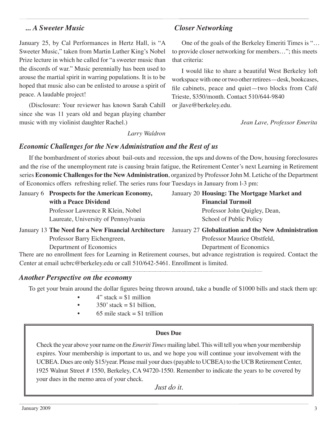### *... A Sweeter Music*

January 25, by Cal Performances in Hertz Hall, is "A Sweeter Music," taken from Martin Luther King's Nobel Prize lecture in which he called for "a sweeter music than the discords of war." Music perennially has been used to arouse the martial spirit in warring populations. It is to be hoped that music also can be enlisted to arouse a spirit of peace. A laudable project!

(Disclosure: Your reviewer has known Sarah Cahill since she was 11 years old and began playing chamber music with my violinist daughter Rachel.)

## *Closer Networking*

One of the goals of the Berkeley Emeriti Times is "… to provide closer networking for members…"; this meets that criteria:

I would like to share a beautiful West Berkeley loft workspace with one or two other retirees—desk, bookcases, file cabinets, peace and quiet—two blocks from Café Trieste, \$350/month. Contact 510/644-9840 or jlave@berkeley.edu.

*Jean Lave, Professor Emerita*

*Larry Waldron*

#### *Economic Challenges for the New Administration and the Rest of us*

If the bombardment of stories about bail-outs and recession, the ups and downs of the Dow, housing foreclosures and the rise of the unemployment rate is causing brain fatigue, the Retirement Center's next Learning in Retirement series **Economic Challenges for the New Administration**, organized by Professor John M. Letiche of the Department of Economics offers refreshing relief. The series runs four Tuesdays in January from l-3 pm:

| January 6 Prospects for the American Economy,                                                                                                 | January 20 Housing: The Mortgage Market and         |
|-----------------------------------------------------------------------------------------------------------------------------------------------|-----------------------------------------------------|
| with a Peace Dividend                                                                                                                         | <b>Financial Turmoil</b>                            |
| Professor Lawrence R Klein, Nobel                                                                                                             | Professor John Quigley, Dean,                       |
| Laureate, University of Pennsylvania                                                                                                          | School of Public Policy                             |
|                                                                                                                                               |                                                     |
| January 13 The Need for a New Financial Architecture                                                                                          | January 27 Globalization and the New Administration |
| Professor Barry Eichengreen,                                                                                                                  | Professor Maurice Obstfeld,                         |
| Department of Economics<br>There are no enrollment fees for Learning in Retirement courses, but advance registration is required. Contact the | Department of Economics                             |

Center at email ucbrc@berkeley.edu or call 510/642-5461. Enrollment is limited.

#### *Another Perspective on the economy*

To get your brain around the dollar figures being thrown around, take a bundle of \$1000 bills and stack them up:

- $4"$  stack = \$1 million
- $350'$  stack = \$1 billion.
- 65 mile stack  $= $1$  trillion

#### **Dues Due**

Check the year above your name on the *Emeriti Times* mailing label. This will tell you when your membership expires. Your membership is important to us, and we hope you will continue your involvement with the UCBEA. Dues are only \$15/year. Please mail your dues (payable to UCBEA) to the UCB Retirement Center, 1925 Walnut Street # 1550, Berkeley, CA 94720-1550. Remember to indicate the years to be covered by your dues in the memo area of your check.

*Just do it.*